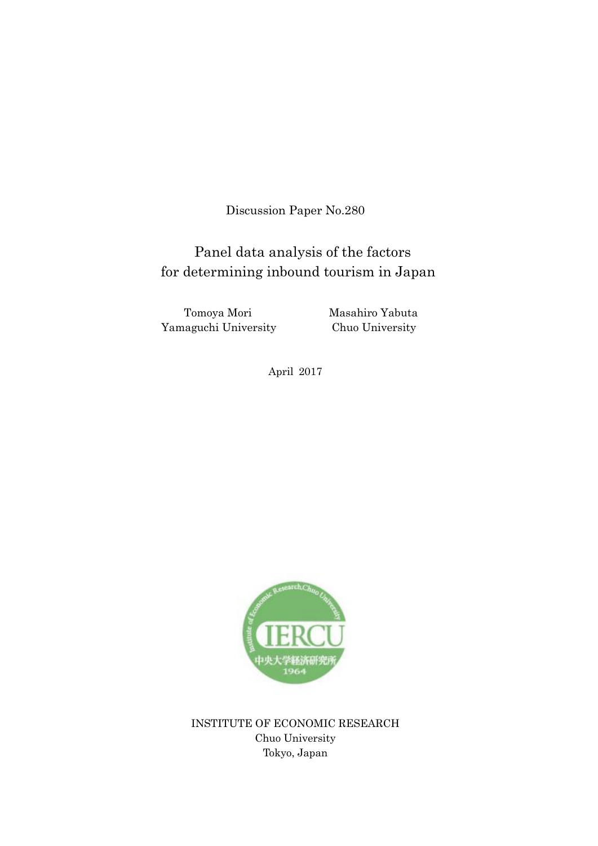Discussion Paper No.280

# for determining inbound tourism in Japan Panel data analysis of the factors

Tomoya Mori Masahiro Yabuta Yamaguchi University Chuo University

April 2017



INSTITUTE OF ECONOMIC RESEARCH Chuo University Tokyo, Japan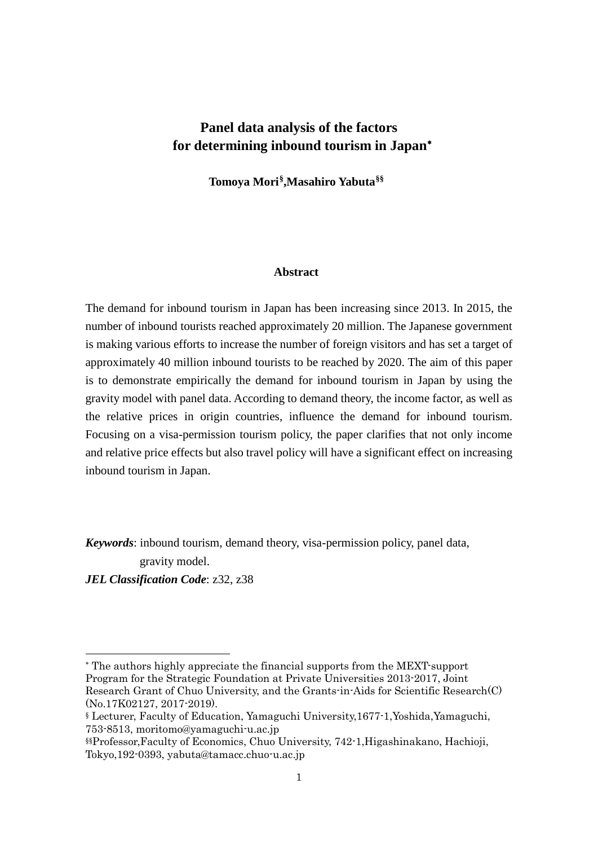## **Panel data analysis of the factors for determining inbound tourism in Japan**[∗](#page-1-0)

**Tomoya Mori[§](#page-1-1),Masahiro Yabuta[§§](#page-1-2)**

## **Abstract**

The demand for inbound tourism in Japan has been increasing since 2013. In 2015, the number of inbound tourists reached approximately 20 million. The Japanese government is making various efforts to increase the number of foreign visitors and has set a target of approximately 40 million inbound tourists to be reached by 2020. The aim of this paper is to demonstrate empirically the demand for inbound tourism in Japan by using the gravity model with panel data. According to demand theory, the income factor, as well as the relative prices in origin countries, influence the demand for inbound tourism. Focusing on a visa-permission tourism policy, the paper clarifies that not only income and relative price effects but also travel policy will have a significant effect on increasing inbound tourism in Japan.

*Keywords*: inbound tourism, demand theory, visa-permission policy, panel data, gravity model.

*JEL Classification Code*: z32, z38

1

<span id="page-1-0"></span><sup>∗</sup> The authors highly appreciate the financial supports from the MEXT-support Program for the Strategic Foundation at Private Universities 2013-2017, Joint Research Grant of Chuo University, and the Grants-in-Aids for Scientific Research(C) (No.17K02127, 2017-2019).

<span id="page-1-1"></span><sup>§</sup> Lecturer, Faculty of Education, Yamaguchi University,1677-1,Yoshida,Yamaguchi, 753-8513, moritomo@yamaguchi-u.ac.jp

<span id="page-1-2"></span><sup>§§</sup>Professor,Faculty of Economics, Chuo University, 742-1,Higashinakano, Hachioji, Tokyo,192-0393, yabuta@tamacc.chuo-u.ac.jp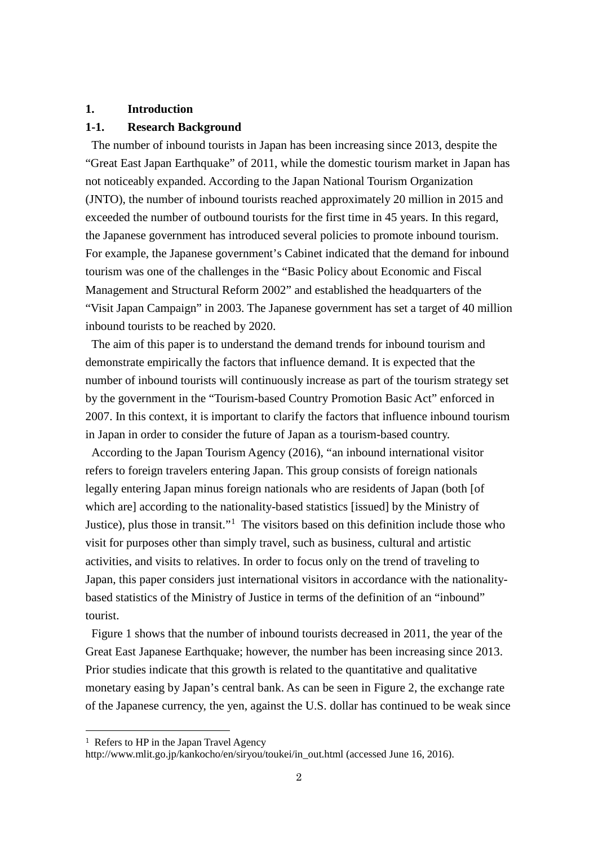## **1. Introduction**

## **1-1. Research Background**

The number of inbound tourists in Japan has been increasing since 2013, despite the "Great East Japan Earthquake" of 2011, while the domestic tourism market in Japan has not noticeably expanded. According to the Japan National Tourism Organization (JNTO), the number of inbound tourists reached approximately 20 million in 2015 and exceeded the number of outbound tourists for the first time in 45 years. In this regard, the Japanese government has introduced several policies to promote inbound tourism. For example, the Japanese government's Cabinet indicated that the demand for inbound tourism was one of the challenges in the "Basic Policy about Economic and Fiscal Management and Structural Reform 2002" and established the headquarters of the "Visit Japan Campaign" in 2003. The Japanese government has set a target of 40 million inbound tourists to be reached by 2020.

The aim of this paper is to understand the demand trends for inbound tourism and demonstrate empirically the factors that influence demand. It is expected that the number of inbound tourists will continuously increase as part of the tourism strategy set by the government in the "Tourism-based Country Promotion Basic Act" enforced in 2007. In this context, it is important to clarify the factors that influence inbound tourism in Japan in order to consider the future of Japan as a tourism-based country.

According to the Japan Tourism Agency (2016), "an inbound international visitor refers to foreign travelers entering Japan. This group consists of foreign nationals legally entering Japan minus foreign nationals who are residents of Japan (both [of which are] according to the nationality-based statistics [issued] by the Ministry of Justice), plus those in transit."[1](#page-2-0) The visitors based on this definition include those who visit for purposes other than simply travel, such as business, cultural and artistic activities, and visits to relatives. In order to focus only on the trend of traveling to Japan, this paper considers just international visitors in accordance with the nationalitybased statistics of the Ministry of Justice in terms of the definition of an "inbound" tourist.

Figure 1 shows that the number of inbound tourists decreased in 2011, the year of the Great East Japanese Earthquake; however, the number has been increasing since 2013. Prior studies indicate that this growth is related to the quantitative and qualitative monetary easing by Japan's central bank. As can be seen in Figure 2, the exchange rate of the Japanese currency, the yen, against the U.S. dollar has continued to be weak since

http://www.mlit.go.jp/kankocho/en/siryou/toukei/in\_out.html (accessed June 16, 2016).

<span id="page-2-0"></span><sup>&</sup>lt;sup>1</sup> Refers to HP in the Japan Travel Agency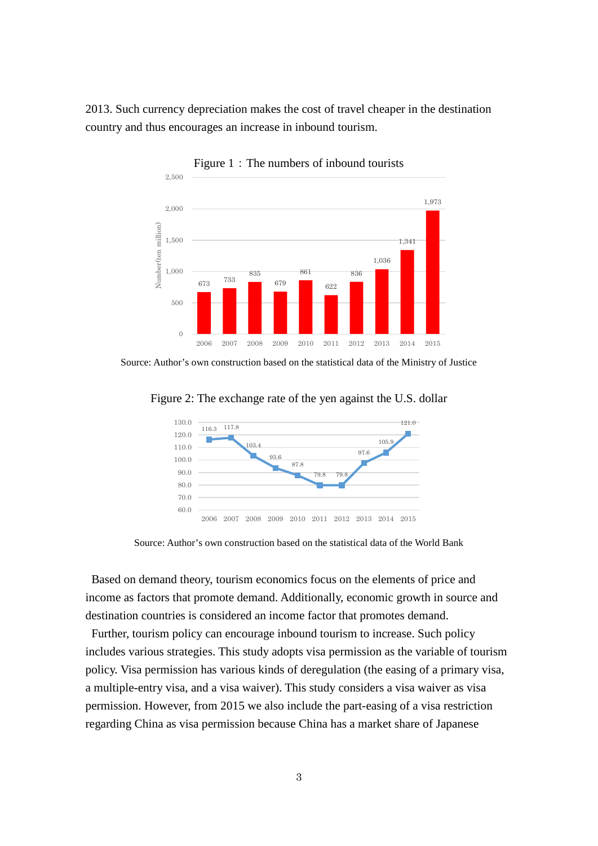2013. Such currency depreciation makes the cost of travel cheaper in the destination country and thus encourages an increase in inbound tourism.



Figure 1: The numbers of inbound tourists

Source: Author's own construction based on the statistical data of the Ministry of Justice



Figure 2: The exchange rate of the yen against the U.S. dollar

Source: Author's own construction based on the statistical data of the World Bank

Based on demand theory, tourism economics focus on the elements of price and income as factors that promote demand. Additionally, economic growth in source and destination countries is considered an income factor that promotes demand.

Further, tourism policy can encourage inbound tourism to increase. Such policy includes various strategies. This study adopts visa permission as the variable of tourism policy. Visa permission has various kinds of deregulation (the easing of a primary visa, a multiple-entry visa, and a visa waiver). This study considers a visa waiver as visa permission. However, from 2015 we also include the part-easing of a visa restriction regarding China as visa permission because China has a market share of Japanese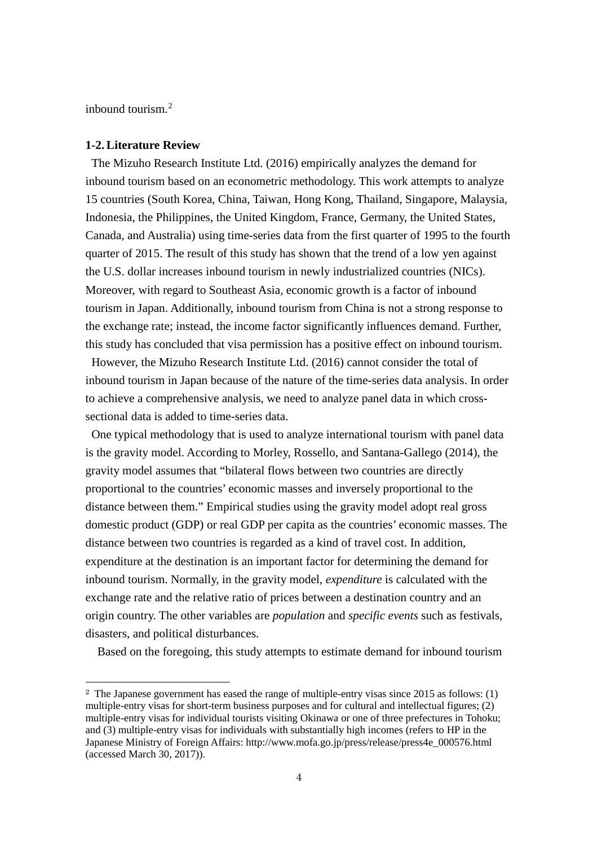inbound tourism. [2](#page-4-0)

#### **1-2. Literature Review**

The Mizuho Research Institute Ltd. (2016) empirically analyzes the demand for inbound tourism based on an econometric methodology. This work attempts to analyze 15 countries (South Korea, China, Taiwan, Hong Kong, Thailand, Singapore, Malaysia, Indonesia, the Philippines, the United Kingdom, France, Germany, the United States, Canada, and Australia) using time-series data from the first quarter of 1995 to the fourth quarter of 2015. The result of this study has shown that the trend of a low yen against the U.S. dollar increases inbound tourism in newly industrialized countries (NICs). Moreover, with regard to Southeast Asia, economic growth is a factor of inbound tourism in Japan. Additionally, inbound tourism from China is not a strong response to the exchange rate; instead, the income factor significantly influences demand. Further, this study has concluded that visa permission has a positive effect on inbound tourism.

However, the Mizuho Research Institute Ltd. (2016) cannot consider the total of inbound tourism in Japan because of the nature of the time-series data analysis. In order to achieve a comprehensive analysis, we need to analyze panel data in which crosssectional data is added to time-series data.

One typical methodology that is used to analyze international tourism with panel data is the gravity model. According to Morley, Rossello, and Santana-Gallego (2014), the gravity model assumes that "bilateral flows between two countries are directly proportional to the countries' economic masses and inversely proportional to the distance between them." Empirical studies using the gravity model adopt real gross domestic product (GDP) or real GDP per capita as the countries' economic masses. The distance between two countries is regarded as a kind of travel cost. In addition, expenditure at the destination is an important factor for determining the demand for inbound tourism. Normally, in the gravity model, *expenditure* is calculated with the exchange rate and the relative ratio of prices between a destination country and an origin country. The other variables are *population* and *specific events* such as festivals, disasters, and political disturbances.

Based on the foregoing, this study attempts to estimate demand for inbound tourism

<span id="page-4-0"></span> <sup>2</sup> The Japanese government has eased the range of multiple-entry visas since 2015 as follows: (1) multiple-entry visas for short-term business purposes and for cultural and intellectual figures; (2) multiple-entry visas for individual tourists visiting Okinawa or one of three prefectures in Tohoku; and (3) multiple-entry visas for individuals with substantially high incomes (refers to HP in the Japanese Ministry of Foreign Affairs: http://www.mofa.go.jp/press/release/press4e\_000576.html (accessed March 30, 2017)).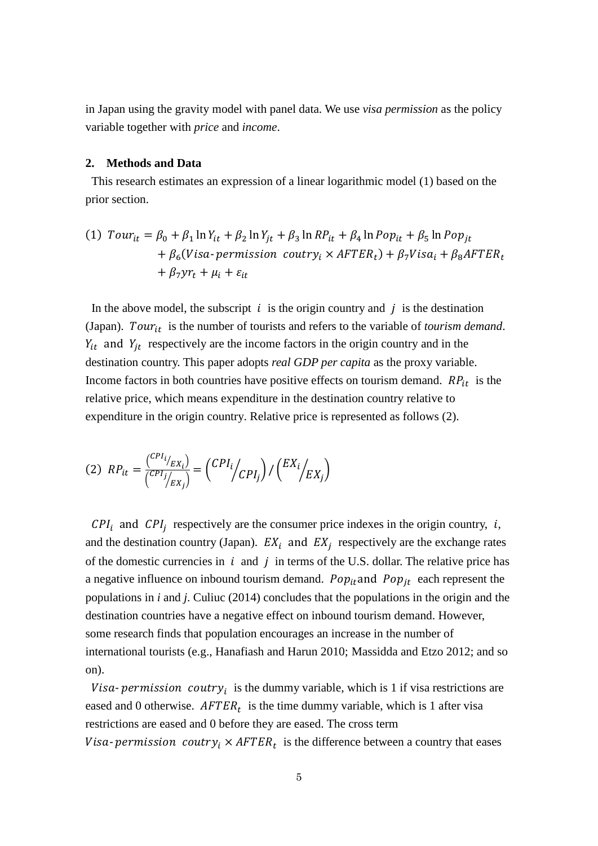in Japan using the gravity model with panel data. We use *visa permission* as the policy variable together with *price* and *income*.

## **2. Methods and Data**

This research estimates an expression of a linear logarithmic model (1) based on the prior section.

(1) 
$$
Tour_{it} = \beta_0 + \beta_1 \ln Y_{it} + \beta_2 \ln Y_{jt} + \beta_3 \ln RP_{it} + \beta_4 \ln Pop_{it} + \beta_5 \ln Pop_{jt} + \beta_6 (Visa-permission country_i \times AFTER_t) + \beta_7 Visa_i + \beta_8 AFTER_t + \beta_7 yr_t + \mu_i + \varepsilon_{it}
$$

In the above model, the subscript  $i$  is the origin country and  $j$  is the destination (Japan). Tour<sub>it</sub> is the number of tourists and refers to the variable of *tourism demand*.  $Y_{it}$  and  $Y_{it}$  respectively are the income factors in the origin country and in the destination country. This paper adopts *real GDP per capita* as the proxy variable. Income factors in both countries have positive effects on tourism demand.  $RP_{it}$  is the relative price, which means expenditure in the destination country relative to expenditure in the origin country. Relative price is represented as follows (2).

$$
(2) \ \ RP_{it} = \frac{\binom{CPI_i}{EX_i}}{\binom{CPI_j}{EX_j}} = \binom{CPI_i}{CPI_j} / \binom{EX_i}{EX_j}
$$

 $CPI_i$  and  $CPI_j$  respectively are the consumer price indexes in the origin country, i, and the destination country (Japan).  $EX_i$  and  $EX_j$  respectively are the exchange rates of the domestic currencies in  $i$  and  $j$  in terms of the U.S. dollar. The relative price has a negative influence on inbound tourism demand.  $Pop_{it}$  and  $Pop_{it}$  each represent the populations in *i* and *j*. Culiuc (2014) concludes that the populations in the origin and the destination countries have a negative effect on inbound tourism demand. However, some research finds that population encourages an increase in the number of international tourists (e.g., Hanafiash and Harun 2010; Massidda and Etzo 2012; and so on).

Visa-permission coutry<sub>i</sub> is the dummy variable, which is 1 if visa restrictions are eased and 0 otherwise.  $AFTER_t$  is the time dummy variable, which is 1 after visa restrictions are eased and 0 before they are eased. The cross term Visa-permission coutry<sub>i</sub>  $\times$  AFTER<sub>t</sub> is the difference between a country that eases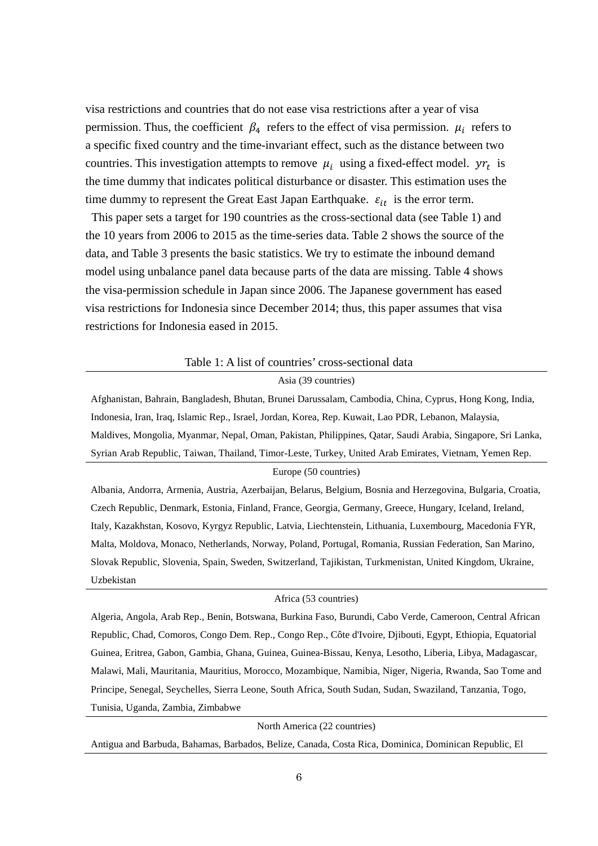visa restrictions and countries that do not ease visa restrictions after a year of visa permission. Thus, the coefficient  $\beta_4$  refers to the effect of visa permission.  $\mu_i$  refers to a specific fixed country and the time-invariant effect, such as the distance between two countries. This investigation attempts to remove  $\mu_i$  using a fixed-effect model.  $\gamma r_t$  is the time dummy that indicates political disturbance or disaster. This estimation uses the time dummy to represent the Great East Japan Earthquake.  $\varepsilon_{it}$  is the error term.

This paper sets a target for 190 countries as the cross-sectional data (see Table 1) and the 10 years from 2006 to 2015 as the time-series data. Table 2 shows the source of the data, and Table 3 presents the basic statistics. We try to estimate the inbound demand model using unbalance panel data because parts of the data are missing. Table 4 shows the visa-permission schedule in Japan since 2006. The Japanese government has eased visa restrictions for Indonesia since December 2014; thus, this paper assumes that visa restrictions for Indonesia eased in 2015.

#### Table 1: A list of countries' cross-sectional data

#### Asia (39 countries)

Afghanistan, Bahrain, Bangladesh, Bhutan, Brunei Darussalam, Cambodia, China, Cyprus, Hong Kong, India, Indonesia, Iran, Iraq, Islamic Rep., Israel, Jordan, Korea, Rep. Kuwait, Lao PDR, Lebanon, Malaysia, Maldives, Mongolia, Myanmar, Nepal, Oman, Pakistan, Philippines, Qatar, Saudi Arabia, Singapore, Sri Lanka, Syrian Arab Republic, Taiwan, Thailand, Timor-Leste, Turkey, United Arab Emirates, Vietnam, Yemen Rep.

#### Europe (50 countries)

Albania, Andorra, Armenia, Austria, Azerbaijan, Belarus, Belgium, Bosnia and Herzegovina, Bulgaria, Croatia, Czech Republic, Denmark, Estonia, Finland, France, Georgia, Germany, Greece, Hungary, Iceland, Ireland, Italy, Kazakhstan, Kosovo, Kyrgyz Republic, Latvia, Liechtenstein, Lithuania, Luxembourg, Macedonia FYR, Malta, Moldova, Monaco, Netherlands, Norway, Poland, Portugal, Romania, Russian Federation, San Marino, Slovak Republic, Slovenia, Spain, Sweden, Switzerland, Tajikistan, Turkmenistan, United Kingdom, Ukraine, Uzbekistan

## Africa (53 countries)

Algeria, Angola, Arab Rep., Benin, Botswana, Burkina Faso, Burundi, Cabo Verde, Cameroon, Central African Republic, Chad, Comoros, Congo Dem. Rep., Congo Rep., Côte d'Ivoire, Djibouti, Egypt, Ethiopia, Equatorial Guinea, Eritrea, Gabon, Gambia, Ghana, Guinea, Guinea-Bissau, Kenya, Lesotho, Liberia, Libya, Madagascar, Malawi, Mali, Mauritania, Mauritius, Morocco, Mozambique, Namibia, Niger, Nigeria, Rwanda, Sao Tome and Principe, Senegal, Seychelles, Sierra Leone, South Africa, South Sudan, Sudan, Swaziland, Tanzania, Togo, Tunisia, Uganda, Zambia, Zimbabwe

North America (22 countries)

Antigua and Barbuda, Bahamas, Barbados, Belize, Canada, Costa Rica, Dominica, Dominican Republic, El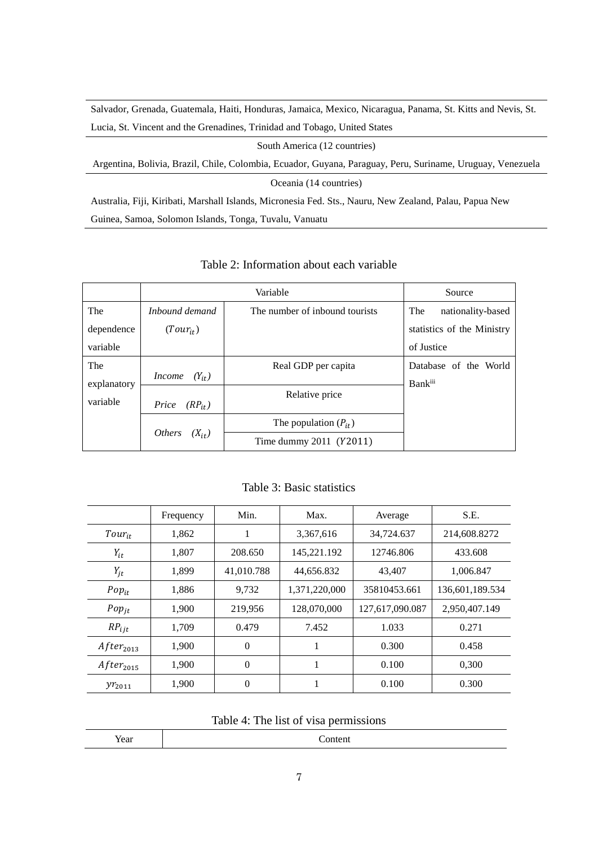Salvador, Grenada, Guatemala, Haiti, Honduras, Jamaica, Mexico, Nicaragua, Panama, St. Kitts and Nevis, St. Lucia, St. Vincent and the Grenadines, Trinidad and Tobago, United States

South America (12 countries)

Argentina, Bolivia, Brazil, Chile, Colombia, Ecuador, Guyana, Paraguay, Peru, Suriname, Uruguay, Venezuela

Oceania (14 countries)

Australia, Fiji, Kiribati, Marshall Islands, Micronesia Fed. Sts., Nauru, New Zealand, Palau, Papua New Guinea, Samoa, Solomon Islands, Tonga, Tuvalu, Vanuatu

|             |                             | Source                         |                            |  |
|-------------|-----------------------------|--------------------------------|----------------------------|--|
| The         | Inbound demand              | The number of inbound tourists | The<br>nationality-based   |  |
| dependence  | $(Tour_{it})$               |                                | statistics of the Ministry |  |
| variable    |                             |                                | of Justice                 |  |
| The         |                             | Real GDP per capita            | Database of the World      |  |
| explanatory | $(Y_{it})$<br><i>Income</i> |                                | <b>Bank</b> iii            |  |
| variable    | Price<br>$(RP_{it})$        | Relative price                 |                            |  |
|             | <i>Others</i><br>$(X_{it})$ | The population $(P_{it})$      |                            |  |
|             |                             | Time dummy $2011$ ( $Y2011$ )  |                            |  |

Table 2: Information about each variable

Table 3: Basic statistics

|                | Frequency | Min.           | Max.          | Average         | S.E.            |
|----------------|-----------|----------------|---------------|-----------------|-----------------|
| $Tour_{it}$    | 1,862     | 1              | 3,367,616     | 34,724.637      | 214,608.8272    |
| $Y_{it}$       | 1,807     | 208.650        | 145,221.192   | 12746.806       | 433.608         |
| $Y_{jt}$       | 1,899     | 41,010.788     | 44,656.832    | 43,407          | 1,006.847       |
| $Pop_{it}$     | 1,886     | 9,732          | 1,371,220,000 | 35810453.661    | 136,601,189.534 |
| $Pop_{jt}$     | 1.900     | 219,956        | 128,070,000   | 127,617,090.087 | 2,950,407.149   |
| $RP_{ijt}$     | 1.709     | 0.479          | 7.452         | 1.033           | 0.271           |
| $After_{2013}$ | 1.900     | $\overline{0}$ | 1             | 0.300           | 0.458           |
| $After_{2015}$ | 1.900     | $\overline{0}$ | 1             | 0.100           | 0,300           |
| $yr_{2011}$    | 1,900     | $\overline{0}$ |               | 0.100           | 0.300           |

Table 4: The list of visa permissions

| Year |
|------|
|------|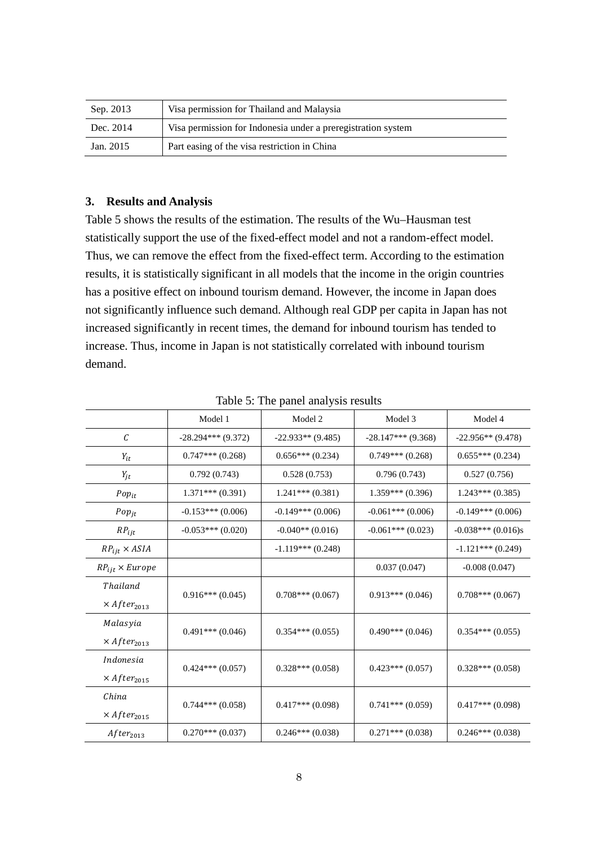| Sep. 2013 | Visa permission for Thailand and Malaysia                    |
|-----------|--------------------------------------------------------------|
| Dec. 2014 | Visa permission for Indonesia under a preregistration system |
| Jan. 2015 | Part easing of the visa restriction in China                 |

## **3. Results and Analysis**

Table 5 shows the results of the estimation. The results of the Wu–Hausman test statistically support the use of the fixed-effect model and not a random-effect model. Thus, we can remove the effect from the fixed-effect term. According to the estimation results, it is statistically significant in all models that the income in the origin countries has a positive effect on inbound tourism demand. However, the income in Japan does not significantly influence such demand. Although real GDP per capita in Japan has not increased significantly in recent times, the demand for inbound tourism has tended to increase. Thus, income in Japan is not statistically correlated with inbound tourism demand.

|                                | Model 1              | Model 2             | Model 3              | Model 4              |
|--------------------------------|----------------------|---------------------|----------------------|----------------------|
| $\mathcal{C}_{0}$              | $-28.294***$ (9.372) | $-22.933**$ (9.485) | $-28.147***$ (9.368) | $-22.956**$ (9.478)  |
| $Y_{it}$                       | $0.747***(0.268)$    | $0.656***(0.234)$   | $0.749***(0.268)$    | $0.655***(0.234)$    |
| $Y_{jt}$                       | 0.792(0.743)         | 0.528(0.753)        | 0.796(0.743)         | 0.527(0.756)         |
| $Pop_{it}$                     | $1.371***(0.391)$    | $1.241***(0.381)$   | $1.359***(0.396)$    | $1.243***(0.385)$    |
| $Pop_{jt}$                     | $-0.153***(0.006)$   | $-0.149***(0.006)$  | $-0.061***(0.006)$   | $-0.149***(0.006)$   |
| $RP_{ijt}$                     | $-0.053***(0.020)$   | $-0.040**$ (0.016)  | $-0.061***(0.023)$   | $-0.038***$ (0.016)s |
| $RP_{ijt} \times ASIA$         |                      | $-1.119***$ (0.248) |                      | $-1.121***(0.249)$   |
| $RP_{ijt} \times Europe$       |                      |                     | 0.037(0.047)         | $-0.008(0.047)$      |
| Thailand                       | $0.916***(0.045)$    | $0.708***(0.067)$   | $0.913***(0.046)$    | $0.708***(0.067)$    |
| $\times$ After <sub>2013</sub> |                      |                     |                      |                      |
| Malasyia                       | $0.491***(0.046)$    | $0.354***(0.055)$   | $0.490***(0.046)$    | $0.354***(0.055)$    |
| $\times$ After <sub>2013</sub> |                      |                     |                      |                      |
| Indonesia                      | $0.424***(0.057)$    | $0.328***(0.058)$   | $0.423***(0.057)$    | $0.328***(0.058)$    |
| $\times$ After <sub>2015</sub> |                      |                     |                      |                      |
| China                          | $0.744***(0.058)$    | $0.417***(0.098)$   | $0.741***(0.059)$    | $0.417***(0.098)$    |
| $\times$ After <sub>2015</sub> |                      |                     |                      |                      |
| $After_{2013}$                 | $0.270***(0.037)$    | $0.246***(0.038)$   | $0.271$ *** (0.038)  | $0.246***(0.038)$    |

Table 5: The panel analysis results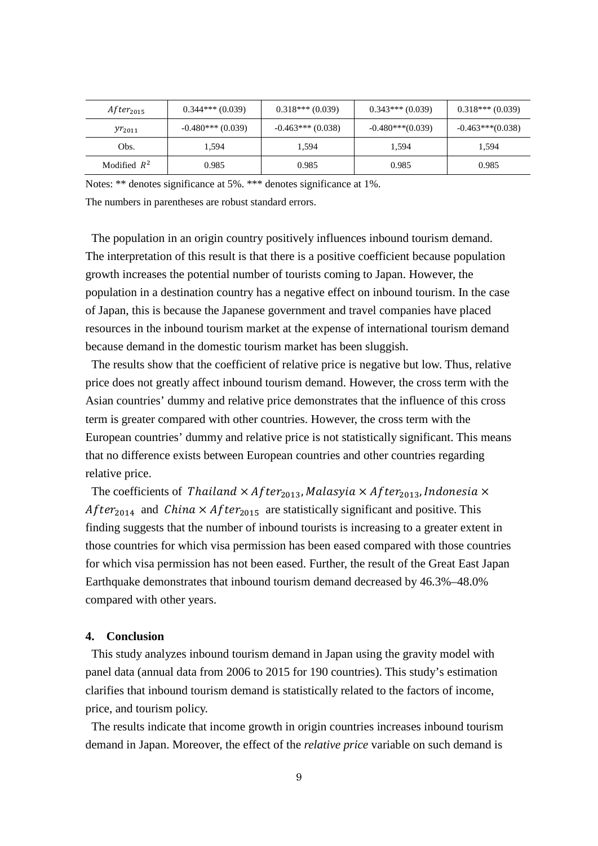| $After_{2015}$ | $0.344***(0.039)$  | $0.318***(0.039)$  | $0.343***(0.039)$  | $0.318***(0.039)$  |
|----------------|--------------------|--------------------|--------------------|--------------------|
| $yr_{2011}$    | $-0.480***(0.039)$ | $-0.463***(0.038)$ | $-0.480***(0.039)$ | $-0.463***(0.038)$ |
| Obs.           | 1.594              | 1.594              | 1.594              | 1.594              |
| Modified $R^2$ | 0.985              | 0.985              | 0.985              | 0.985              |

Notes: \*\* denotes significance at 5%. \*\*\* denotes significance at 1%.

The numbers in parentheses are robust standard errors.

The population in an origin country positively influences inbound tourism demand. The interpretation of this result is that there is a positive coefficient because population growth increases the potential number of tourists coming to Japan. However, the population in a destination country has a negative effect on inbound tourism. In the case of Japan, this is because the Japanese government and travel companies have placed resources in the inbound tourism market at the expense of international tourism demand because demand in the domestic tourism market has been sluggish.

The results show that the coefficient of relative price is negative but low. Thus, relative price does not greatly affect inbound tourism demand. However, the cross term with the Asian countries' dummy and relative price demonstrates that the influence of this cross term is greater compared with other countries. However, the cross term with the European countries' dummy and relative price is not statistically significant. This means that no difference exists between European countries and other countries regarding relative price.

The coefficients of Thailand  $\times$  After<sub>2013</sub>, Malasyia  $\times$  After<sub>2013</sub>, Indonesia  $\times$ After<sub>2014</sub> and China  $\times$  After<sub>2015</sub> are statistically significant and positive. This finding suggests that the number of inbound tourists is increasing to a greater extent in those countries for which visa permission has been eased compared with those countries for which visa permission has not been eased. Further, the result of the Great East Japan Earthquake demonstrates that inbound tourism demand decreased by 46.3%–48.0% compared with other years.

## **4. Conclusion**

This study analyzes inbound tourism demand in Japan using the gravity model with panel data (annual data from 2006 to 2015 for 190 countries). This study's estimation clarifies that inbound tourism demand is statistically related to the factors of income, price, and tourism policy.

The results indicate that income growth in origin countries increases inbound tourism demand in Japan. Moreover, the effect of the *relative price* variable on such demand is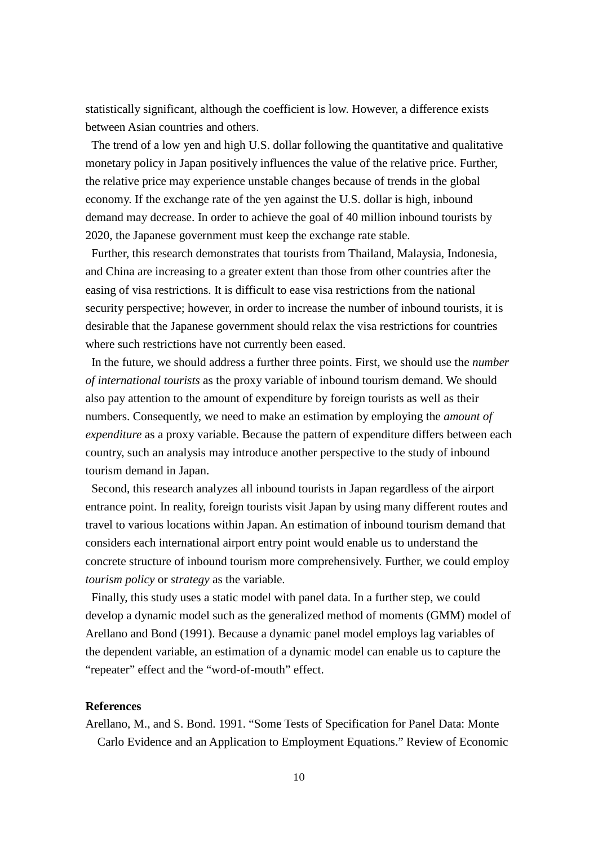statistically significant, although the coefficient is low. However, a difference exists between Asian countries and others.

The trend of a low yen and high U.S. dollar following the quantitative and qualitative monetary policy in Japan positively influences the value of the relative price. Further, the relative price may experience unstable changes because of trends in the global economy. If the exchange rate of the yen against the U.S. dollar is high, inbound demand may decrease. In order to achieve the goal of 40 million inbound tourists by 2020, the Japanese government must keep the exchange rate stable.

Further, this research demonstrates that tourists from Thailand, Malaysia, Indonesia, and China are increasing to a greater extent than those from other countries after the easing of visa restrictions. It is difficult to ease visa restrictions from the national security perspective; however, in order to increase the number of inbound tourists, it is desirable that the Japanese government should relax the visa restrictions for countries where such restrictions have not currently been eased.

In the future, we should address a further three points. First, we should use the *number of international tourists* as the proxy variable of inbound tourism demand. We should also pay attention to the amount of expenditure by foreign tourists as well as their numbers. Consequently, we need to make an estimation by employing the *amount of expenditure* as a proxy variable. Because the pattern of expenditure differs between each country, such an analysis may introduce another perspective to the study of inbound tourism demand in Japan.

Second, this research analyzes all inbound tourists in Japan regardless of the airport entrance point. In reality, foreign tourists visit Japan by using many different routes and travel to various locations within Japan. An estimation of inbound tourism demand that considers each international airport entry point would enable us to understand the concrete structure of inbound tourism more comprehensively. Further, we could employ *tourism policy* or *strategy* as the variable.

Finally, this study uses a static model with panel data. In a further step, we could develop a dynamic model such as the generalized method of moments (GMM) model of Arellano and Bond (1991). Because a dynamic panel model employs lag variables of the dependent variable, an estimation of a dynamic model can enable us to capture the "repeater" effect and the "word-of-mouth" effect.

## **References**

Arellano, M., and S. Bond. 1991. "Some Tests of Specification for Panel Data: Monte Carlo Evidence and an Application to Employment Equations." Review of Economic